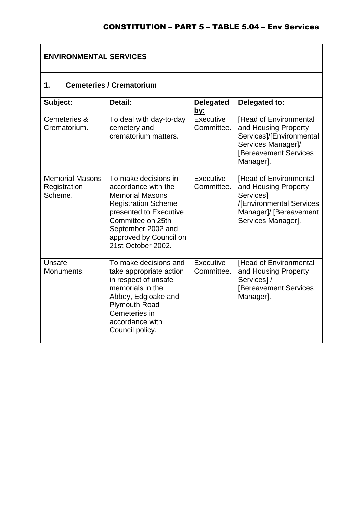### **ENVIRONMENTAL SERVICES**

## **1. Cemeteries / Crematorium**

| Subject:                                          | Detail:                                                                                                                                                                                                                  | <b>Delegated</b><br>by: | Delegated to:                                                                                                                                 |  |
|---------------------------------------------------|--------------------------------------------------------------------------------------------------------------------------------------------------------------------------------------------------------------------------|-------------------------|-----------------------------------------------------------------------------------------------------------------------------------------------|--|
| Cemeteries &<br>Crematorium.                      | To deal with day-to-day<br>cemetery and<br>crematorium matters.                                                                                                                                                          | Executive<br>Committee. | [Head of Environmental<br>and Housing Property<br>Services]/[Environmental<br>Services Manager]/<br><b>Bereavement Services</b><br>Manager].  |  |
| <b>Memorial Masons</b><br>Registration<br>Scheme. | To make decisions in<br>accordance with the<br><b>Memorial Masons</b><br><b>Registration Scheme</b><br>presented to Executive<br>Committee on 25th<br>September 2002 and<br>approved by Council on<br>21st October 2002. | Executive<br>Committee. | [Head of Environmental<br>and Housing Property<br><b>Services</b><br>/[Environmental Services<br>Manager]/ [Bereavement<br>Services Manager]. |  |
| Unsafe<br>Monuments.                              | To make decisions and<br>take appropriate action<br>in respect of unsafe<br>memorials in the<br>Abbey, Edgioake and<br><b>Plymouth Road</b><br>Cemeteries in<br>accordance with<br>Council policy.                       | Executive<br>Committee. | [Head of Environmental<br>and Housing Property<br>Services]/<br><b>IBereavement Services</b><br>Manager].                                     |  |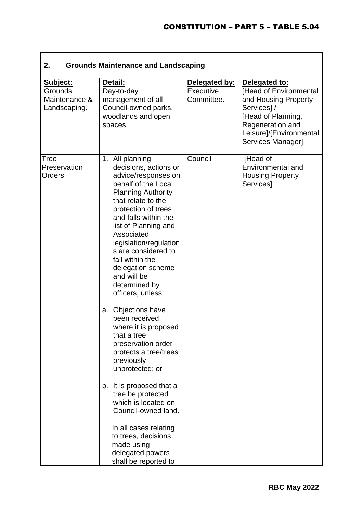| 2.<br><b>Grounds Maintenance and Landscaping</b> |                                                                                                                                                                                                                                                                                                                                                                                                                                                                                                                                                                                                                                                                                                                                                     |                         |                                                                                                                                                         |  |
|--------------------------------------------------|-----------------------------------------------------------------------------------------------------------------------------------------------------------------------------------------------------------------------------------------------------------------------------------------------------------------------------------------------------------------------------------------------------------------------------------------------------------------------------------------------------------------------------------------------------------------------------------------------------------------------------------------------------------------------------------------------------------------------------------------------------|-------------------------|---------------------------------------------------------------------------------------------------------------------------------------------------------|--|
| Subject:                                         | Detail:                                                                                                                                                                                                                                                                                                                                                                                                                                                                                                                                                                                                                                                                                                                                             | Delegated by:           | Delegated to:                                                                                                                                           |  |
| Grounds<br>Maintenance &<br>Landscaping.         | Day-to-day<br>management of all<br>Council-owned parks,<br>woodlands and open<br>spaces.                                                                                                                                                                                                                                                                                                                                                                                                                                                                                                                                                                                                                                                            | Executive<br>Committee. | [Head of Environmental<br>and Housing Property<br>Services]/<br>[Head of Planning,<br>Regeneration and<br>Leisure]/[Environmental<br>Services Manager]. |  |
| Tree<br>Preservation<br>Orders                   | 1. All planning<br>decisions, actions or<br>advice/responses on<br>behalf of the Local<br><b>Planning Authority</b><br>that relate to the<br>protection of trees<br>and falls within the<br>list of Planning and<br>Associated<br>legislation/regulation<br>s are considered to<br>fall within the<br>delegation scheme<br>and will be<br>determined by<br>officers, unless:<br>a. Objections have<br>been received<br>where it is proposed<br>that a tree<br>preservation order<br>protects a tree/trees<br>previously<br>unprotected; or<br>b. It is proposed that a<br>tree be protected<br>which is located on<br>Council-owned land.<br>In all cases relating<br>to trees, decisions<br>made using<br>delegated powers<br>shall be reported to | Council                 | [Head of<br>Environmental and<br><b>Housing Property</b><br>Services]                                                                                   |  |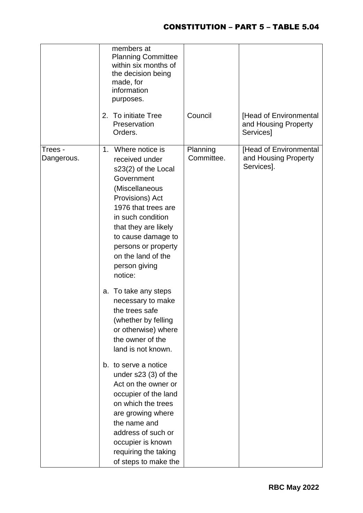|                       | members at<br><b>Planning Committee</b><br>within six months of<br>the decision being<br>made, for<br>information<br>purposes.                                                                                                                                                    |                        |                                                              |
|-----------------------|-----------------------------------------------------------------------------------------------------------------------------------------------------------------------------------------------------------------------------------------------------------------------------------|------------------------|--------------------------------------------------------------|
|                       | 2. To initiate Tree<br>Preservation<br>Orders.                                                                                                                                                                                                                                    | Council                | [Head of Environmental<br>and Housing Property<br>Services]  |
| Trees -<br>Dangerous. | 1. Where notice is<br>received under<br>s23(2) of the Local<br>Government<br>(Miscellaneous<br>Provisions) Act<br>1976 that trees are<br>in such condition<br>that they are likely<br>to cause damage to<br>persons or property<br>on the land of the<br>person giving<br>notice: | Planning<br>Committee. | [Head of Environmental<br>and Housing Property<br>Services]. |
|                       | a. To take any steps<br>necessary to make<br>the trees safe<br>(whether by felling<br>or otherwise) where<br>the owner of the<br>land is not known.                                                                                                                               |                        |                                                              |
|                       | b. to serve a notice<br>under $s23(3)$ of the<br>Act on the owner or<br>occupier of the land<br>on which the trees<br>are growing where<br>the name and<br>address of such or<br>occupier is known<br>requiring the taking<br>of steps to make the                                |                        |                                                              |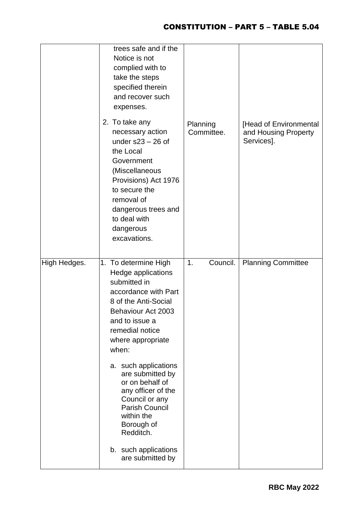|              | trees safe and if the<br>Notice is not<br>complied with to<br>take the steps<br>specified therein<br>and recover such<br>expenses.                                                                                                |                        |                                                              |
|--------------|-----------------------------------------------------------------------------------------------------------------------------------------------------------------------------------------------------------------------------------|------------------------|--------------------------------------------------------------|
|              | 2. To take any<br>necessary action<br>under $s23 - 26$ of<br>the Local<br>Government<br>(Miscellaneous<br>Provisions) Act 1976<br>to secure the<br>removal of<br>dangerous trees and<br>to deal with<br>dangerous<br>excavations. | Planning<br>Committee. | [Head of Environmental<br>and Housing Property<br>Services]. |
| High Hedges. | 1. To determine High<br>Hedge applications<br>submitted in<br>accordance with Part<br>8 of the Anti-Social<br>Behaviour Act 2003<br>and to issue a<br>remedial notice<br>where appropriate<br>when:                               | Council.<br>1.         | <b>Planning Committee</b>                                    |
|              | a. such applications<br>are submitted by<br>or on behalf of<br>any officer of the<br>Council or any<br><b>Parish Council</b><br>within the<br>Borough of<br>Redditch.                                                             |                        |                                                              |
|              | b. such applications                                                                                                                                                                                                              |                        |                                                              |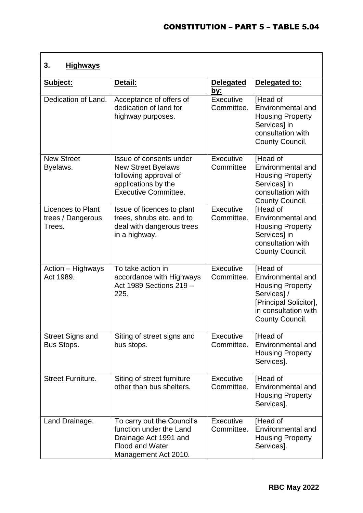# **3. Highways**

| Subject:                                         | Detail:                                                                                                                          | Delegated<br><u>by:</u> | Delegated to:                                                                                                                               |
|--------------------------------------------------|----------------------------------------------------------------------------------------------------------------------------------|-------------------------|---------------------------------------------------------------------------------------------------------------------------------------------|
| Dedication of Land.                              | Acceptance of offers of<br>dedication of land for<br>highway purposes.                                                           | Executive<br>Committee. | [Head of<br>Environmental and<br><b>Housing Property</b><br>Services] in<br>consultation with<br>County Council.                            |
| <b>New Street</b><br>Byelaws.                    | Issue of consents under<br><b>New Street Byelaws</b><br>following approval of<br>applications by the<br>Executive Committee.     | Executive<br>Committee  | [Head of<br>Environmental and<br><b>Housing Property</b><br>Services] in<br>consultation with<br>County Council.                            |
| Licences to Plant<br>trees / Dangerous<br>Trees. | Issue of licences to plant<br>trees, shrubs etc. and to<br>deal with dangerous trees<br>in a highway.                            | Executive<br>Committee. | [Head of<br>Environmental and<br><b>Housing Property</b><br>Services] in<br>consultation with<br>County Council.                            |
| Action – Highways<br>Act 1989.                   | To take action in<br>accordance with Highways<br>Act 1989 Sections 219 -<br>225.                                                 | Executive<br>Committee. | [Head of<br>Environmental and<br><b>Housing Property</b><br>Services]/<br>[Principal Solicitor],<br>in consultation with<br>County Council. |
| <b>Street Signs and</b><br>Bus Stops.            | Siting of street signs and<br>bus stops.                                                                                         | Executive<br>Committee. | [Head of<br>Environmental and<br><b>Housing Property</b><br>Services].                                                                      |
| <b>Street Furniture.</b>                         | Siting of street furniture<br>other than bus shelters.                                                                           | Executive<br>Committee. | [Head of<br>Environmental and<br><b>Housing Property</b><br>Services].                                                                      |
| Land Drainage.                                   | To carry out the Council's<br>function under the Land<br>Drainage Act 1991 and<br><b>Flood and Water</b><br>Management Act 2010. | Executive<br>Committee. | [Head of<br>Environmental and<br><b>Housing Property</b><br>Services].                                                                      |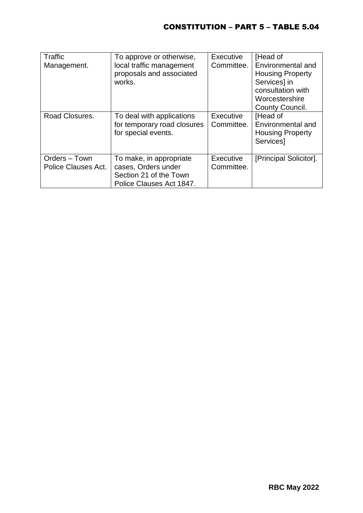| Traffic<br>Management.               | To approve or otherwise,<br>local traffic management<br>proposals and associated<br>works.           | Executive<br>Committee. | [Head of<br>Environmental and<br><b>Housing Property</b><br>Services] in<br>consultation with<br>Worcestershire<br>County Council. |
|--------------------------------------|------------------------------------------------------------------------------------------------------|-------------------------|------------------------------------------------------------------------------------------------------------------------------------|
| Road Closures.                       | To deal with applications<br>for temporary road closures<br>for special events.                      | Executive<br>Committee. | [Head of<br>Environmental and<br><b>Housing Property</b><br>Services]                                                              |
| Orders - Town<br>Police Clauses Act. | To make, in appropriate<br>cases, Orders under<br>Section 21 of the Town<br>Police Clauses Act 1847. | Executive<br>Committee. | [Principal Solicitor].                                                                                                             |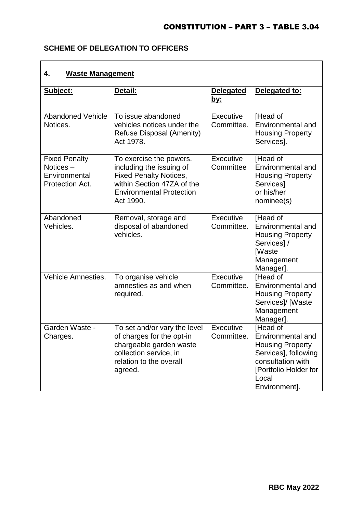### **SCHEME OF DELEGATION TO OFFICERS**

### **4. Waste Management**

| Subject:                                                             | Detail:                                                                                                                                                            | <b>Delegated</b><br><u>by:</u> | Delegated to:                                                                                                                                            |
|----------------------------------------------------------------------|--------------------------------------------------------------------------------------------------------------------------------------------------------------------|--------------------------------|----------------------------------------------------------------------------------------------------------------------------------------------------------|
| <b>Abandoned Vehicle</b><br>Notices.                                 | To issue abandoned<br>vehicles notices under the<br>Refuse Disposal (Amenity)<br>Act 1978.                                                                         | Executive<br>Committee.        | [Head of<br>Environmental and<br><b>Housing Property</b><br>Services].                                                                                   |
| <b>Fixed Penalty</b><br>Notices-<br>Environmental<br>Protection Act. | To exercise the powers,<br>including the issuing of<br><b>Fixed Penalty Notices,</b><br>within Section 47ZA of the<br><b>Environmental Protection</b><br>Act 1990. | Executive<br>Committee         | [Head of<br>Environmental and<br><b>Housing Property</b><br>Services]<br>or his/her<br>nominee(s)                                                        |
| Abandoned<br>Vehicles.                                               | Removal, storage and<br>disposal of abandoned<br>vehicles.                                                                                                         | Executive<br>Committee.        | [Head of<br>Environmental and<br><b>Housing Property</b><br>Services]/<br><b>[Waste</b><br>Management<br>Manager].                                       |
| Vehicle Amnesties.                                                   | To organise vehicle<br>amnesties as and when<br>required.                                                                                                          | Executive<br>Committee.        | [Head of<br>Environmental and<br><b>Housing Property</b><br>Services]/ [Waste<br>Management<br>Manager].                                                 |
| Garden Waste -<br>Charges.                                           | To set and/or vary the level<br>of charges for the opt-in<br>chargeable garden waste<br>collection service, in<br>relation to the overall<br>agreed.               | Executive<br>Committee.        | [Head of<br>Environmental and<br><b>Housing Property</b><br>Services], following<br>consultation with<br>[Portfolio Holder for<br>Local<br>Environment]. |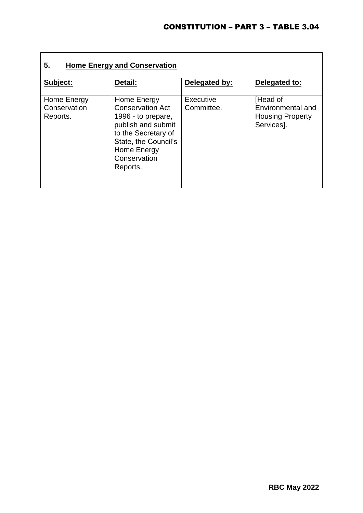| 5.<br><b>Home Energy and Conservation</b> |                                                                                                                                                                              |                                |                                                                        |  |
|-------------------------------------------|------------------------------------------------------------------------------------------------------------------------------------------------------------------------------|--------------------------------|------------------------------------------------------------------------|--|
| Subject:                                  | Detail:                                                                                                                                                                      | Delegated by:                  | Delegated to:                                                          |  |
| Home Energy<br>Conservation<br>Reports.   | Home Energy<br><b>Conservation Act</b><br>1996 - to prepare,<br>publish and submit<br>to the Secretary of<br>State, the Council's<br>Home Energy<br>Conservation<br>Reports. | <b>Executive</b><br>Committee. | [Head of<br>Environmental and<br><b>Housing Property</b><br>Services]. |  |